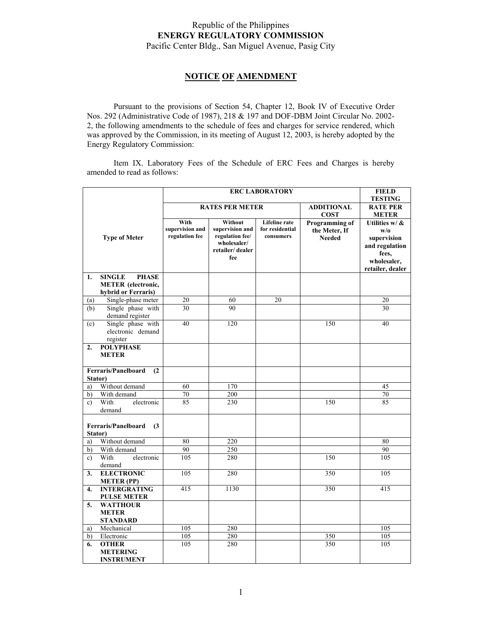## Republic of the Philippines **ENERGY REGULATORY COMMISSION**  Pacific Center Bldg., San Miguel Avenue, Pasig City

## **NOTICE OF AMENDMENT**

 Pursuant to the provisions of Section 54, Chapter 12, Book IV of Executive Order Nos. 292 (Administrative Code of 1987), 218 & 197 and DOF-DBM Joint Circular No. 2002- 2, the following amendments to the schedule of fees and charges for service rendered, which was approved by the Commission, in its meeting of August 12, 2003, is hereby adopted by the Energy Regulatory Commission:

 Item IX. Laboratory Fees of the Schedule of ERC Fees and Charges is hereby amended to read as follows:

|                                              |                                                      | <b>ERC LABORATORY</b>                     |                                                                                        |                                                      |                                                  | <b>FIELD</b>                                                                                       |
|----------------------------------------------|------------------------------------------------------|-------------------------------------------|----------------------------------------------------------------------------------------|------------------------------------------------------|--------------------------------------------------|----------------------------------------------------------------------------------------------------|
|                                              |                                                      |                                           |                                                                                        |                                                      |                                                  | <b>TESTING</b>                                                                                     |
|                                              |                                                      | <b>RATES PER METER</b>                    |                                                                                        |                                                      | <b>ADDITIONAL</b><br><b>COST</b>                 | <b>RATE PER</b><br><b>METER</b>                                                                    |
|                                              | <b>Type of Meter</b>                                 | With<br>supervision and<br>regulation fee | Without<br>supervision and<br>regulation fee/<br>wholesaler/<br>retailer/dealer<br>fee | <b>Lifeline</b> rate<br>for residential<br>consumers | Programming of<br>the Meter, If<br><b>Needed</b> | Utilities w/ &<br>w/o<br>supervision<br>and regulation<br>fees.<br>wholesaler,<br>retailer, dealer |
| 1.                                           | <b>SINGLE</b><br><b>PHASE</b>                        |                                           |                                                                                        |                                                      |                                                  |                                                                                                    |
|                                              | <b>METER</b> (electronic,                            |                                           |                                                                                        |                                                      |                                                  |                                                                                                    |
| (a)                                          | hybrid or Ferraris)<br>Single-phase meter            | $\overline{20}$                           | 60                                                                                     | $\overline{20}$                                      |                                                  | $\overline{20}$                                                                                    |
| (b)                                          | Single phase with                                    | 30                                        | 90                                                                                     |                                                      |                                                  | 30                                                                                                 |
|                                              | demand register                                      |                                           |                                                                                        |                                                      |                                                  |                                                                                                    |
| (c)                                          | Single phase with<br>electronic demand<br>register   | 40                                        | 120                                                                                    |                                                      | 150                                              | 40                                                                                                 |
| 2.                                           | <b>POLYPHASE</b>                                     |                                           |                                                                                        |                                                      |                                                  |                                                                                                    |
|                                              | <b>METER</b>                                         |                                           |                                                                                        |                                                      |                                                  |                                                                                                    |
| <b>Ferraris/Panelboard</b><br>(2)            |                                                      |                                           |                                                                                        |                                                      |                                                  |                                                                                                    |
| Stator)                                      |                                                      |                                           |                                                                                        |                                                      |                                                  |                                                                                                    |
| a)                                           | Without demand                                       | 60                                        | 170                                                                                    |                                                      |                                                  | 45                                                                                                 |
| b)                                           | With demand                                          | 70                                        | 200                                                                                    |                                                      |                                                  | 70                                                                                                 |
| $\mathbf{c}$                                 | With<br>electronic<br>demand                         | 85                                        | 230                                                                                    |                                                      | 150                                              | 85                                                                                                 |
| <b>Ferraris/Panelboard</b><br>(3)<br>Stator) |                                                      |                                           |                                                                                        |                                                      |                                                  |                                                                                                    |
| a)                                           | Without demand                                       | 80                                        | 220                                                                                    |                                                      |                                                  | 80                                                                                                 |
| b)                                           | With demand                                          | 90                                        | 250                                                                                    |                                                      |                                                  | 90                                                                                                 |
| c)                                           | With<br>electronic<br>demand                         | $\overline{105}$                          | 280                                                                                    |                                                      | 150                                              | 105                                                                                                |
| 3.                                           | <b>ELECTRONIC</b><br><b>METER (PP)</b>               | 105                                       | 280                                                                                    |                                                      | 350                                              | 105                                                                                                |
| 4.                                           | <b>INTERGRATING</b><br><b>PULSE METER</b>            | 415                                       | 1130                                                                                   |                                                      | 350                                              | 415                                                                                                |
| 5.                                           | <b>WATTHOUR</b><br><b>METER</b><br><b>STANDARD</b>   |                                           |                                                                                        |                                                      |                                                  |                                                                                                    |
| a)                                           | Mechanical                                           | 105                                       | 280                                                                                    |                                                      |                                                  | 105                                                                                                |
| b)                                           | Electronic                                           | 105                                       | 280                                                                                    |                                                      | 350                                              | 105                                                                                                |
| 6.                                           | <b>OTHER</b><br><b>METERING</b><br><b>INSTRUMENT</b> | 105                                       | 280                                                                                    |                                                      | 350                                              | 105                                                                                                |